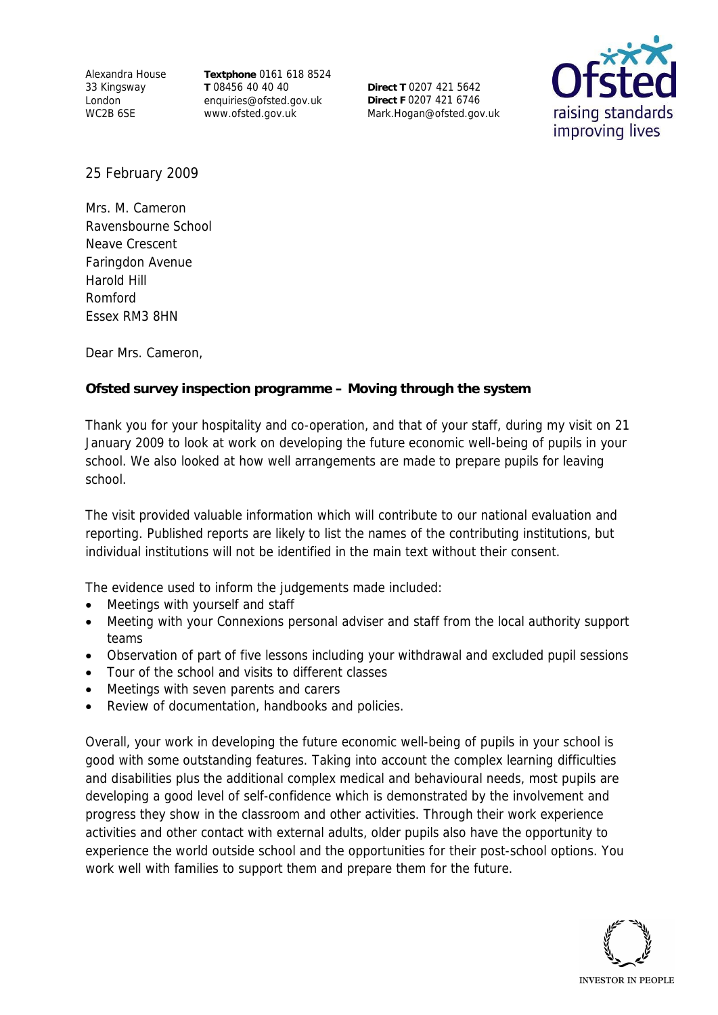Alexandra House 33 Kingsway London WC2B 6SE

**Textphone** 0161 618 8524 **T** 08456 40 40 40 enquiries@ofsted.gov.uk www.ofsted.gov.uk

**Direct T** 0207 421 5642 **Direct F** 0207 421 6746 Mark.Hogan@ofsted.gov.uk



25 February 2009

Mrs. M. Cameron Ravensbourne School Neave Crescent Faringdon Avenue Harold Hill Romford Essex RM3 8HN

Dear Mrs. Cameron,

**Ofsted survey inspection programme – Moving through the system**

Thank you for your hospitality and co-operation, and that of your staff, during my visit on 21 January 2009 to look at work on developing the future economic well-being of pupils in your school. We also looked at how well arrangements are made to prepare pupils for leaving school.

The visit provided valuable information which will contribute to our national evaluation and reporting. Published reports are likely to list the names of the contributing institutions, but individual institutions will not be identified in the main text without their consent.

The evidence used to inform the judgements made included:

- Meetings with yourself and staff
- Meeting with your Connexions personal adviser and staff from the local authority support teams
- Observation of part of five lessons including your withdrawal and excluded pupil sessions
- Tour of the school and visits to different classes
- Meetings with seven parents and carers
- Review of documentation, handbooks and policies.

Overall, your work in developing the future economic well-being of pupils in your school is good with some outstanding features. Taking into account the complex learning difficulties and disabilities plus the additional complex medical and behavioural needs, most pupils are developing a good level of self-confidence which is demonstrated by the involvement and progress they show in the classroom and other activities. Through their work experience activities and other contact with external adults, older pupils also have the opportunity to experience the world outside school and the opportunities for their post-school options. You work well with families to support them and prepare them for the future.

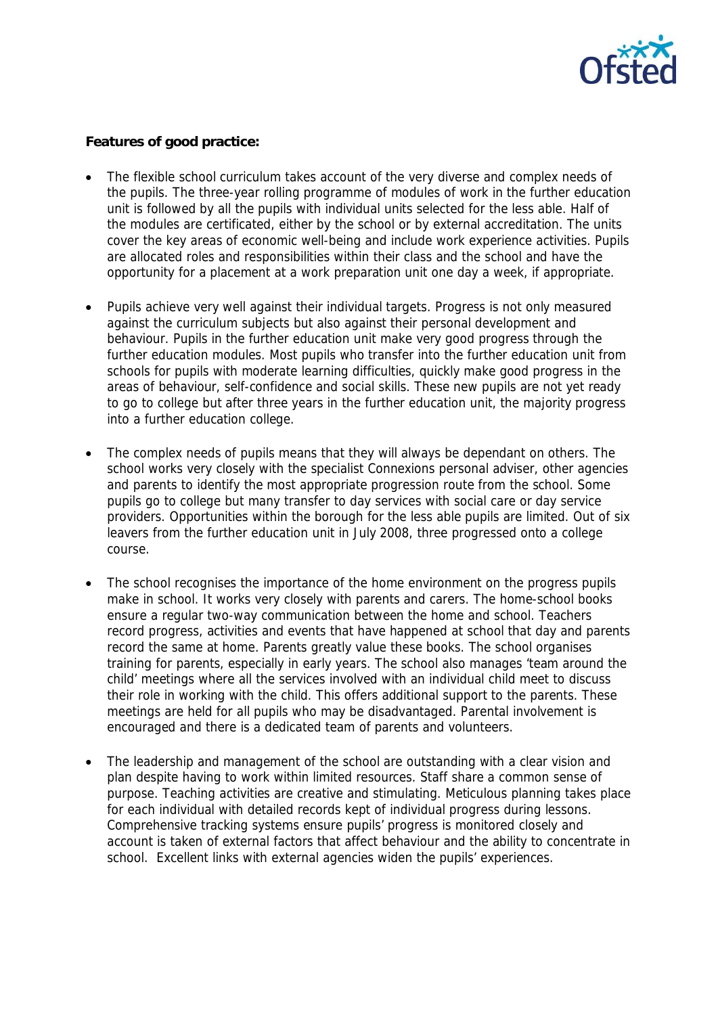

**Features of good practice:**

- The flexible school curriculum takes account of the very diverse and complex needs of the pupils. The three-year rolling programme of modules of work in the further education unit is followed by all the pupils with individual units selected for the less able. Half of the modules are certificated, either by the school or by external accreditation. The units cover the key areas of economic well-being and include work experience activities. Pupils are allocated roles and responsibilities within their class and the school and have the opportunity for a placement at a work preparation unit one day a week, if appropriate.
- Pupils achieve very well against their individual targets. Progress is not only measured against the curriculum subjects but also against their personal development and behaviour. Pupils in the further education unit make very good progress through the further education modules. Most pupils who transfer into the further education unit from schools for pupils with moderate learning difficulties, quickly make good progress in the areas of behaviour, self-confidence and social skills. These new pupils are not yet ready to go to college but after three years in the further education unit, the majority progress into a further education college.
- The complex needs of pupils means that they will always be dependant on others. The school works very closely with the specialist Connexions personal adviser, other agencies and parents to identify the most appropriate progression route from the school. Some pupils go to college but many transfer to day services with social care or day service providers. Opportunities within the borough for the less able pupils are limited. Out of six leavers from the further education unit in July 2008, three progressed onto a college course.
- The school recognises the importance of the home environment on the progress pupils make in school. It works very closely with parents and carers. The home-school books ensure a regular two-way communication between the home and school. Teachers record progress, activities and events that have happened at school that day and parents record the same at home. Parents greatly value these books. The school organises training for parents, especially in early years. The school also manages 'team around the child' meetings where all the services involved with an individual child meet to discuss their role in working with the child. This offers additional support to the parents. These meetings are held for all pupils who may be disadvantaged. Parental involvement is encouraged and there is a dedicated team of parents and volunteers.
- The leadership and management of the school are outstanding with a clear vision and plan despite having to work within limited resources. Staff share a common sense of purpose. Teaching activities are creative and stimulating. Meticulous planning takes place for each individual with detailed records kept of individual progress during lessons. Comprehensive tracking systems ensure pupils' progress is monitored closely and account is taken of external factors that affect behaviour and the ability to concentrate in school. Excellent links with external agencies widen the pupils' experiences.